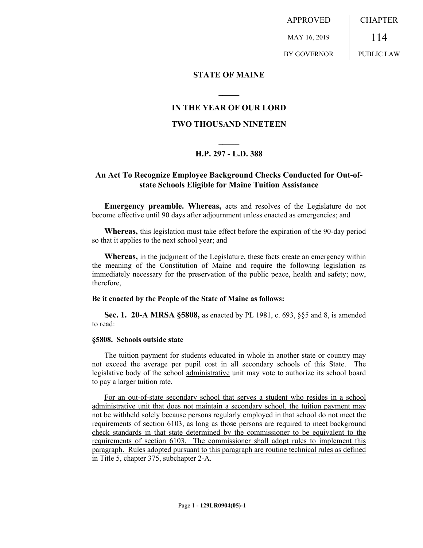APPROVED MAY 16, 2019 BY GOVERNOR CHAPTER 114 PUBLIC LAW

### **STATE OF MAINE**

# **IN THE YEAR OF OUR LORD**

**\_\_\_\_\_**

## **TWO THOUSAND NINETEEN**

# **\_\_\_\_\_ H.P. 297 - L.D. 388**

# **An Act To Recognize Employee Background Checks Conducted for Out-ofstate Schools Eligible for Maine Tuition Assistance**

**Emergency preamble. Whereas,** acts and resolves of the Legislature do not become effective until 90 days after adjournment unless enacted as emergencies; and

**Whereas,** this legislation must take effect before the expiration of the 90-day period so that it applies to the next school year; and

**Whereas,** in the judgment of the Legislature, these facts create an emergency within the meaning of the Constitution of Maine and require the following legislation as immediately necessary for the preservation of the public peace, health and safety; now, therefore,

### **Be it enacted by the People of the State of Maine as follows:**

**Sec. 1. 20-A MRSA §5808,** as enacted by PL 1981, c. 693, §§5 and 8, is amended to read:

### **§5808. Schools outside state**

The tuition payment for students educated in whole in another state or country may not exceed the average per pupil cost in all secondary schools of this State. The legislative body of the school administrative unit may vote to authorize its school board to pay a larger tuition rate.

For an out-of-state secondary school that serves a student who resides in a school administrative unit that does not maintain a secondary school, the tuition payment may not be withheld solely because persons regularly employed in that school do not meet the requirements of section 6103, as long as those persons are required to meet background check standards in that state determined by the commissioner to be equivalent to the requirements of section 6103. The commissioner shall adopt rules to implement this paragraph. Rules adopted pursuant to this paragraph are routine technical rules as defined in Title 5, chapter 375, subchapter 2-A.